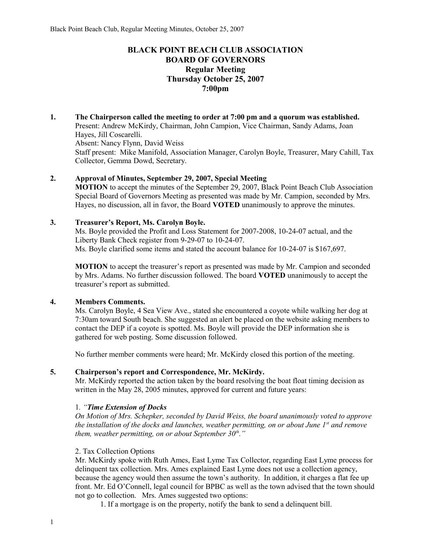# **BLACK POINT BEACH CLUB ASSOCIATION BOARD OF GOVERNORS Regular Meeting Thursday October 25, 2007 7:00pm**

**1. The Chairperson called the meeting to order at 7:00 pm and a quorum was established.**  Present: Andrew McKirdy, Chairman, John Campion, Vice Chairman, Sandy Adams, Joan Hayes, Jill Coscarelli. Absent: Nancy Flynn, David Weiss Staff present: Mike Manifold, Association Manager, Carolyn Boyle, Treasurer, Mary Cahill, Tax Collector, Gemma Dowd, Secretary.

### **2. Approval of Minutes, September 29, 2007, Special Meeting**

**MOTION** to accept the minutes of the September 29, 2007, Black Point Beach Club Association Special Board of Governors Meeting as presented was made by Mr. Campion, seconded by Mrs. Hayes, no discussion, all in favor, the Board **VOTED** unanimously to approve the minutes.

### **3. Treasurer's Report, Ms. Carolyn Boyle.**

Ms. Boyle provided the Profit and Loss Statement for 2007-2008, 10-24-07 actual, and the Liberty Bank Check register from 9-29-07 to 10-24-07. Ms. Boyle clarified some items and stated the account balance for 10-24-07 is \$167,697.

**MOTION** to accept the treasurer's report as presented was made by Mr. Campion and seconded by Mrs. Adams. No further discussion followed. The board **VOTED** unanimously to accept the treasurer's report as submitted.

### **4. Members Comments.**

Ms. Carolyn Boyle, 4 Sea View Ave., stated she encountered a coyote while walking her dog at 7:30am toward South beach. She suggested an alert be placed on the website asking members to contact the DEP if a coyote is spotted. Ms. Boyle will provide the DEP information she is gathered for web posting. Some discussion followed.

No further member comments were heard; Mr. McKirdy closed this portion of the meeting.

### **5. Chairperson's report and Correspondence, Mr. McKirdy.**

Mr. McKirdy reported the action taken by the board resolving the boat float timing decision as written in the May 28, 2005 minutes, approved for current and future years:

### 1*. "Time Extension of Docks*

*On Motion of Mrs. Schepker, seconded by David Weiss, the board unanimously voted to approve the installation of the docks and launches, weather permitting, on or about June 1st and remove them, weather permitting, on or about September 30th."*

### 2. Tax Collection Options

Mr. McKirdy spoke with Ruth Ames, East Lyme Tax Collector, regarding East Lyme process for delinquent tax collection. Mrs. Ames explained East Lyme does not use a collection agency, because the agency would then assume the town's authority. In addition, it charges a flat fee up front. Mr. Ed O'Connell, legal council for BPBC as well as the town advised that the town should not go to collection. Mrs. Ames suggested two options:

1. If a mortgage is on the property, notify the bank to send a delinquent bill.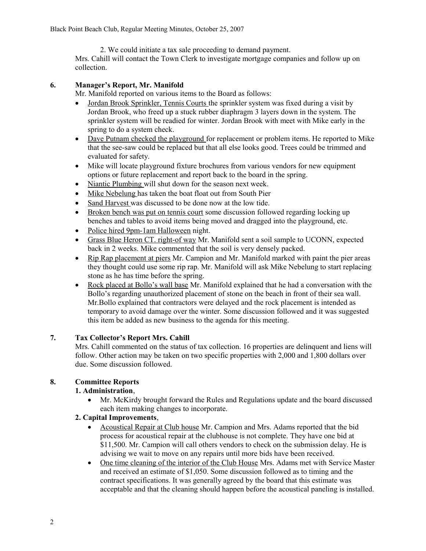2. We could initiate a tax sale proceeding to demand payment. Mrs. Cahill will contact the Town Clerk to investigate mortgage companies and follow up on collection.

# **6. Manager's Report, Mr. Manifold**

Mr. Manifold reported on various items to the Board as follows:

- Jordan Brook Sprinkler, Tennis Courts the sprinkler system was fixed during a visit by Jordan Brook, who freed up a stuck rubber diaphragm 3 layers down in the system. The sprinkler system will be readied for winter. Jordan Brook with meet with Mike early in the spring to do a system check.
- Dave Putnam checked the playground for replacement or problem items. He reported to Mike that the see-saw could be replaced but that all else looks good. Trees could be trimmed and evaluated for safety.
- Mike will locate playground fixture brochures from various vendors for new equipment options or future replacement and report back to the board in the spring.
- Niantic Plumbing will shut down for the season next week.
- Mike Nebelung has taken the boat float out from South Pier
- Sand Harvest was discussed to be done now at the low tide.
- Broken bench was put on tennis court some discussion followed regarding locking up benches and tables to avoid items being moved and dragged into the playground, etc.
- Police hired 9pm-1am Halloween night.
- Grass Blue Heron CT. right-of way Mr. Manifold sent a soil sample to UCONN, expected back in 2 weeks. Mike commented that the soil is very densely packed.
- Rip Rap placement at piers Mr. Campion and Mr. Manifold marked with paint the pier areas they thought could use some rip rap. Mr. Manifold will ask Mike Nebelung to start replacing stone as he has time before the spring.
- Rock placed at Bollo's wall base Mr. Manifold explained that he had a conversation with the Bollo's regarding unauthorized placement of stone on the beach in front of their sea wall. Mr.Bollo explained that contractors were delayed and the rock placement is intended as temporary to avoid damage over the winter. Some discussion followed and it was suggested this item be added as new business to the agenda for this meeting.

# **7. Tax Collector's Report Mrs. Cahill**

Mrs. Cahill commented on the status of tax collection. 16 properties are delinquent and liens will follow. Other action may be taken on two specific properties with 2,000 and 1,800 dollars over due. Some discussion followed.

# **8. Committee Reports**

# **1. Administration**,

 Mr. McKirdy brought forward the Rules and Regulations update and the board discussed each item making changes to incorporate.

### **2. Capital Improvements**,

- Acoustical Repair at Club house Mr. Campion and Mrs. Adams reported that the bid process for acoustical repair at the clubhouse is not complete. They have one bid at \$11,500. Mr. Campion will call others vendors to check on the submission delay. He is advising we wait to move on any repairs until more bids have been received.
- One time cleaning of the interior of the Club House Mrs. Adams met with Service Master and received an estimate of \$1,050. Some discussion followed as to timing and the contract specifications. It was generally agreed by the board that this estimate was acceptable and that the cleaning should happen before the acoustical paneling is installed.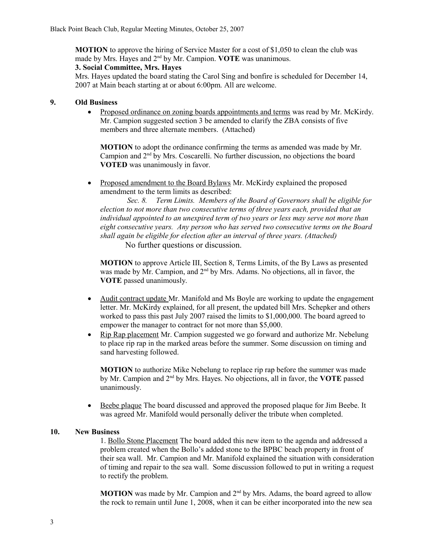**MOTION** to approve the hiring of Service Master for a cost of \$1,050 to clean the club was made by Mrs. Hayes and 2nd by Mr. Campion. **VOTE** was unanimous.

#### **3. Social Committee, Mrs. Hayes**

Mrs. Hayes updated the board stating the Carol Sing and bonfire is scheduled for December 14, 2007 at Main beach starting at or about 6:00pm. All are welcome.

### **9. Old Business**

 Proposed ordinance on zoning boards appointments and terms was read by Mr. McKirdy. Mr. Campion suggested section 3 be amended to clarify the ZBA consists of five members and three alternate members. (Attached)

**MOTION** to adopt the ordinance confirming the terms as amended was made by Mr. Campion and 2nd by Mrs. Coscarelli. No further discussion, no objections the board **VOTED** was unanimously in favor.

• Proposed amendment to the Board Bylaws Mr. McKirdy explained the proposed amendment to the term limits as described:

 *Sec. 8. Term Limits. Members of the Board of Governors shall be eligible for election to not more than two consecutive terms of three years each, provided that an individual appointed to an unexpired term of two years or less may serve not more than eight consecutive years. Any person who has served two consecutive terms on the Board shall again be eligible for election after an interval of three years. (Attached)* No further questions or discussion.

**MOTION** to approve Article III, Section 8, Terms Limits, of the By Laws as presented was made by Mr. Campion, and 2<sup>nd</sup> by Mrs. Adams. No objections, all in favor, the **VOTE** passed unanimously.

- Audit contract update Mr. Manifold and Ms Boyle are working to update the engagement letter. Mr. McKirdy explained, for all present, the updated bill Mrs. Schepker and others worked to pass this past July 2007 raised the limits to \$1,000,000. The board agreed to empower the manager to contract for not more than \$5,000.
- Rip Rap placement Mr. Campion suggested we go forward and authorize Mr. Nebelung to place rip rap in the marked areas before the summer. Some discussion on timing and sand harvesting followed.

**MOTION** to authorize Mike Nebelung to replace rip rap before the summer was made by Mr. Campion and 2nd by Mrs. Hayes. No objections, all in favor, the **VOTE** passed unanimously.

 Beebe plaque The board discussed and approved the proposed plaque for Jim Beebe. It was agreed Mr. Manifold would personally deliver the tribute when completed.

### **10. New Business**

1. Bollo Stone Placement The board added this new item to the agenda and addressed a problem created when the Bollo's added stone to the BPBC beach property in front of their sea wall. Mr. Campion and Mr. Manifold explained the situation with consideration of timing and repair to the sea wall. Some discussion followed to put in writing a request to rectify the problem.

**MOTION** was made by Mr. Campion and 2<sup>nd</sup> by Mrs. Adams, the board agreed to allow the rock to remain until June 1, 2008, when it can be either incorporated into the new sea